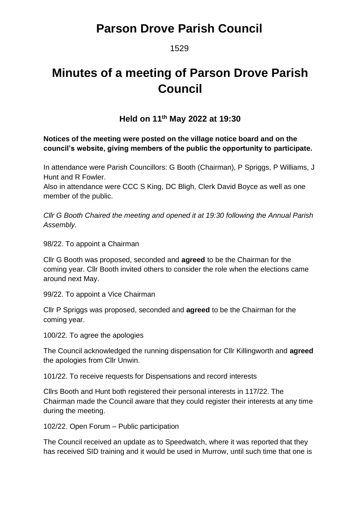### 1529

# **Minutes of a meeting of Parson Drove Parish Council**

### **Held on 11 th May 2022 at 19:30**

### **Notices of the meeting were posted on the village notice board and on the council's website, giving members of the public the opportunity to participate.**

In attendance were Parish Councillors: G Booth (Chairman), P Spriggs, P Williams, J Hunt and R Fowler.

Also in attendance were CCC S King, DC Bligh, Clerk David Boyce as well as one member of the public.

*Cllr G Booth Chaired the meeting and opened it at 19:30 following the Annual Parish Assembly.*

98/22. To appoint a Chairman

Cllr G Booth was proposed, seconded and **agreed** to be the Chairman for the coming year. Cllr Booth invited others to consider the role when the elections came around next May.

99/22. To appoint a Vice Chairman

Cllr P Spriggs was proposed, seconded and **agreed** to be the Chairman for the coming year.

100/22. To agree the apologies

The Council acknowledged the running dispensation for Cllr Killingworth and **agreed** the apologies from Cllr Unwin.

101/22. To receive requests for Dispensations and record interests

Cllrs Booth and Hunt both registered their personal interests in 117/22. The Chairman made the Council aware that they could register their interests at any time during the meeting.

102/22. Open Forum – Public participation

The Council received an update as to Speedwatch, where it was reported that they has received SID training and it would be used in Murrow, until such time that one is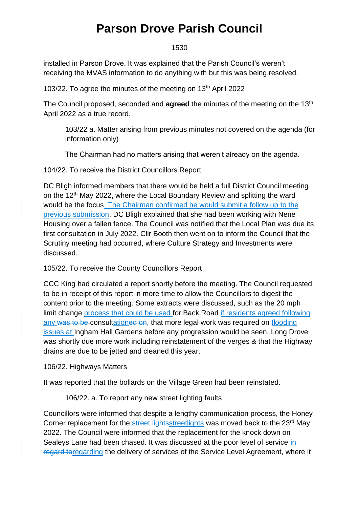#### 1530

installed in Parson Drove. It was explained that the Parish Council's weren't receiving the MVAS information to do anything with but this was being resolved.

103/22. To agree the minutes of the meeting on 13<sup>th</sup> April 2022

The Council proposed, seconded and **agreed** the minutes of the meeting on the 13<sup>th</sup> April 2022 as a true record.

103/22 a. Matter arising from previous minutes not covered on the agenda (for information only)

The Chairman had no matters arising that weren't already on the agenda.

104/22. To receive the District Councillors Report

DC Bligh informed members that there would be held a full District Council meeting on the 12<sup>th</sup> May 2022, where the Local Boundary Review and splitting the ward would be the focus, The Chairman confirmed he would submit a follow up to the previous submission. DC Bligh explained that she had been working with Nene Housing over a fallen fence. The Council was notified that the Local Plan was due its first consultation in July 2022. Cllr Booth then went on to inform the Council that the Scrutiny meeting had occurred, where Culture Strategy and Investments were discussed.

105/22. To receive the County Councillors Report

CCC King had circulated a report shortly before the meeting. The Council requested to be in receipt of this report in more time to allow the Councillors to digest the content prior to the meeting. Some extracts were discussed, such as the 20 mph limit change process that could be used for Back Road if residents agreed following any was to be consultationed on, that more legal work was required on flooding issues at Ingham Hall Gardens before any progression would be seen, Long Drove was shortly due more work including reinstatement of the verges & that the Highway drains are due to be jetted and cleaned this year.

106/22. Highways Matters

It was reported that the bollards on the Village Green had been reinstated.

106/22. a. To report any new street lighting faults

Councillors were informed that despite a lengthy communication process, the Honey Corner replacement for the street lightsstreetlights was moved back to the 23<sup>rd</sup> May 2022. The Council were informed that the replacement for the knock down on Sealeys Lane had been chased. It was discussed at the poor level of service in regard toregarding the delivery of services of the Service Level Agreement, where it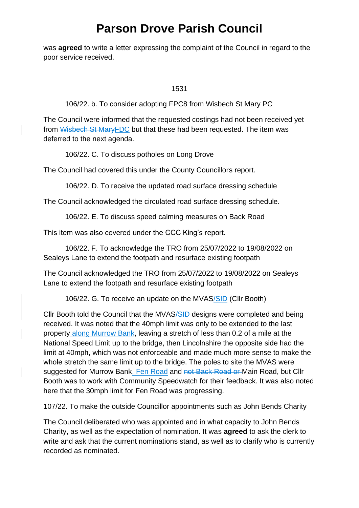was **agreed** to write a letter expressing the complaint of the Council in regard to the poor service received.

1531

106/22. b. To consider adopting FPC8 from Wisbech St Mary PC

The Council were informed that the requested costings had not been received yet from Wisbech St MaryFDC but that these had been requested. The item was deferred to the next agenda.

106/22. C. To discuss potholes on Long Drove

The Council had covered this under the County Councillors report.

106/22. D. To receive the updated road surface dressing schedule

The Council acknowledged the circulated road surface dressing schedule.

106/22. E. To discuss speed calming measures on Back Road

This item was also covered under the CCC King's report.

106/22. F. To acknowledge the TRO from 25/07/2022 to 19/08/2022 on Sealeys Lane to extend the footpath and resurface existing footpath

The Council acknowledged the TRO from 25/07/2022 to 19/08/2022 on Sealeys Lane to extend the footpath and resurface existing footpath

106/22. G. To receive an update on the MVAS/SID (Cllr Booth)

Cllr Booth told the Council that the MVAS/SID designs were completed and being received. It was noted that the 40mph limit was only to be extended to the last property along Murrow Bank, leaving a stretch of less than 0.2 of a mile at the National Speed Limit up to the bridge, then Lincolnshire the opposite side had the limit at 40mph, which was not enforceable and made much more sense to make the whole stretch the same limit up to the bridge. The poles to site the MVAS were suggested for Murrow Bank, Fen Road and not Back Road or Main Road, but Cllr Booth was to work with Community Speedwatch for their feedback. It was also noted here that the 30mph limit for Fen Road was progressing.

107/22. To make the outside Councillor appointments such as John Bends Charity

The Council deliberated who was appointed and in what capacity to John Bends Charity, as well as the expectation of nomination. It was **agreed** to ask the clerk to write and ask that the current nominations stand, as well as to clarify who is currently recorded as nominated.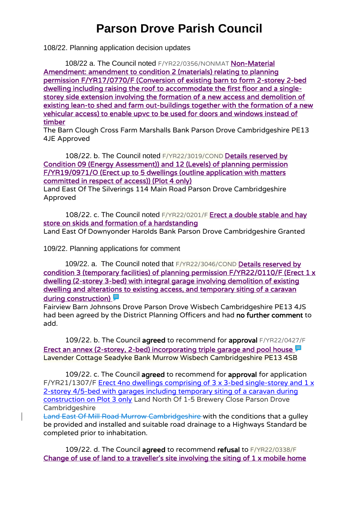108/22. Planning application decision updates

108/22 a. The Council noted F/YR22/0356/NONMAT Non-Material [Amendment: amendment to condition 2 \(materials\) relating to planning](https://www.publicaccess.fenland.gov.uk/publicaccess/applicationDetails.do?keyVal=R9I1SRHE0D800&activeTab=summary)  [permission F/YR17/0770/F \(Conversion of existing barn to form 2-storey 2-bed](https://www.publicaccess.fenland.gov.uk/publicaccess/applicationDetails.do?keyVal=R9I1SRHE0D800&activeTab=summary)  [dwelling including raising the roof to accommodate the first floor and a single](https://www.publicaccess.fenland.gov.uk/publicaccess/applicationDetails.do?keyVal=R9I1SRHE0D800&activeTab=summary)[storey side extension involving the formation of a new access and demolition of](https://www.publicaccess.fenland.gov.uk/publicaccess/applicationDetails.do?keyVal=R9I1SRHE0D800&activeTab=summary)  [existing lean-to shed and farm out-buildings together with the formation of a new](https://www.publicaccess.fenland.gov.uk/publicaccess/applicationDetails.do?keyVal=R9I1SRHE0D800&activeTab=summary)  [vehicular access\) to enable upvc to be used for doors and windows instead of](https://www.publicaccess.fenland.gov.uk/publicaccess/applicationDetails.do?keyVal=R9I1SRHE0D800&activeTab=summary)  [timber](https://www.publicaccess.fenland.gov.uk/publicaccess/applicationDetails.do?keyVal=R9I1SRHE0D800&activeTab=summary)

The Barn Clough Cross Farm Marshalls Bank Parson Drove Cambridgeshire PE13 4JE Approved

108/22. b. The Council noted F/YR22/3019/COND Details reserved by [Condition 09 \(Energy Assessment\)\) and 12 \(Levels\) of planning permission](https://www.publicaccess.fenland.gov.uk/publicaccess/applicationDetails.do?keyVal=R7GAY1HE0D800&activeTab=summary)  [F/YR19/0971/O \(Erect up to 5 dwellings \(outline application with matters](https://www.publicaccess.fenland.gov.uk/publicaccess/applicationDetails.do?keyVal=R7GAY1HE0D800&activeTab=summary)  [committed in respect of access\)\) \(Plot 4 only\)](https://www.publicaccess.fenland.gov.uk/publicaccess/applicationDetails.do?keyVal=R7GAY1HE0D800&activeTab=summary)

Land East Of The Silverings 114 Main Road Parson Drove Cambridgeshire Approved

108/22. c. The Council noted F/YR22/0201/F Erect a double stable and hay [store on skids and formation of a hardstanding](https://www.publicaccess.fenland.gov.uk/publicaccess/applicationDetails.do?keyVal=R6OK5CHE0D800&activeTab=summary) Land East Of Downyonder Harolds Bank Parson Drove Cambridgeshire Granted

109/22. Planning applications for comment

109/22. a. The Council noted that F/YR22/3046/COND [Details reserved by](https://www.publicaccess.fenland.gov.uk/publicaccess/applicationDetails.do?keyVal=RBCOP2HE01U00&activeTab=summary)  [condition 3 \(temporary facilities\) of planning permission F/YR22/0110/F \(Erect 1 x](https://www.publicaccess.fenland.gov.uk/publicaccess/applicationDetails.do?keyVal=RBCOP2HE01U00&activeTab=summary)  [dwelling \(2-storey 3-bed\) with integral garage involving demolition of existing](https://www.publicaccess.fenland.gov.uk/publicaccess/applicationDetails.do?keyVal=RBCOP2HE01U00&activeTab=summary)  [dwelling and alterations to existing access, and temporary siting of a caravan](https://www.publicaccess.fenland.gov.uk/publicaccess/applicationDetails.do?keyVal=RBCOP2HE01U00&activeTab=summary)  during construction)

Fairview Barn Johnsons Drove Parson Drove Wisbech Cambridgeshire PE13 4JS had been agreed by the District Planning Officers and had no further comment to add.

109/22. b. The Council agreed to recommend for approval F/YR22/0427/F [Erect an annex \(2-storey, 2-bed\) incorporating triple garage and pool house](https://www.publicaccess.fenland.gov.uk/publicaccess/applicationDetails.do?keyVal=RAA4E1HE0D800&activeTab=summary)  $\blacksquare$ Lavender Cottage Seadyke Bank Murrow Wisbech Cambridgeshire PE13 4SB

109/22. c. The Council agreed to recommend for approval for application F/YR21/1307/F [Erect 4no dwellings comprising of 3 x 3-bed single-storey and 1 x](https://www.publicaccess.fenland.gov.uk/publicaccess/applicationDetails.do?activeTab=summary&keyVal=R2020MHE0I900)  [2-storey 4/5-bed with garages including temporary siting of a caravan during](https://www.publicaccess.fenland.gov.uk/publicaccess/applicationDetails.do?activeTab=summary&keyVal=R2020MHE0I900)  [construction on Plot 3 only](https://www.publicaccess.fenland.gov.uk/publicaccess/applicationDetails.do?activeTab=summary&keyVal=R2020MHE0I900) Land North Of 1-5 Brewery Close Parson Drove Cambridgeshire

Land East Of Mill Road Murrow Cambridgeshire with the conditions that a gulley be provided and installed and suitable road drainage to a Highways Standard be completed prior to inhabitation.

109/22. d. The Council agreed to recommend refusal to F/YR22/0338/F [Change of use of land to a traveller's site involving the siting of 1 x mobile home](https://www.publicaccess.fenland.gov.uk/publicaccess/applicationDetails.do?keyVal=R8SFLCHE06P00&activeTab=summary)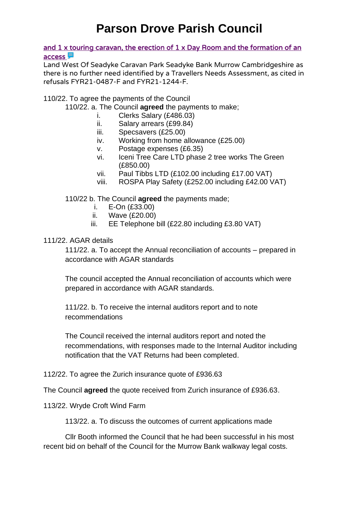and 1 x touring caravan, the erection of 1 x Day Room and the formation of an [access](https://www.publicaccess.fenland.gov.uk/publicaccess/applicationDetails.do?keyVal=R8SFLCHE06P00&activeTab=summary) **厚** 

Land West Of Seadyke Caravan Park Seadyke Bank Murrow Cambridgeshire as there is no further need identified by a Travellers Needs Assessment, as cited in refusals FYR21-0487-F and FYR21-1244-F.

110/22. To agree the payments of the Council

- 110/22. a. The Council **agreed** the payments to make;
	- i. Clerks Salary (£486.03)
	- ii. Salary arrears (£99.84)
	- iii. Specsavers (£25.00)
	- iv. Working from home allowance (£25.00)
	- v. Postage expenses (£6.35)
	- vi. Iceni Tree Care LTD phase 2 tree works The Green (£850.00)
	- vii. Paul Tibbs LTD (£102.00 including £17.00 VAT)
	- viii. ROSPA Play Safety (£252.00 including £42.00 VAT)

110/22 b. The Council **agreed** the payments made;

- i. E-On (£33.00)
- ii. Wave (£20.00)
- iii. EE Telephone bill (£22.80 including £3.80 VAT)

#### 111/22. AGAR details

111/22. a. To accept the Annual reconciliation of accounts – prepared in accordance with AGAR standards

The council accepted the Annual reconciliation of accounts which were prepared in accordance with AGAR standards.

111/22. b. To receive the internal auditors report and to note recommendations

The Council received the internal auditors report and noted the recommendations, with responses made to the Internal Auditor including notification that the VAT Returns had been completed.

### 112/22. To agree the Zurich insurance quote of £936.63

The Council **agreed** the quote received from Zurich insurance of £936.63.

#### 113/22. Wryde Croft Wind Farm

113/22. a. To discuss the outcomes of current applications made

Cllr Booth informed the Council that he had been successful in his most recent bid on behalf of the Council for the Murrow Bank walkway legal costs.